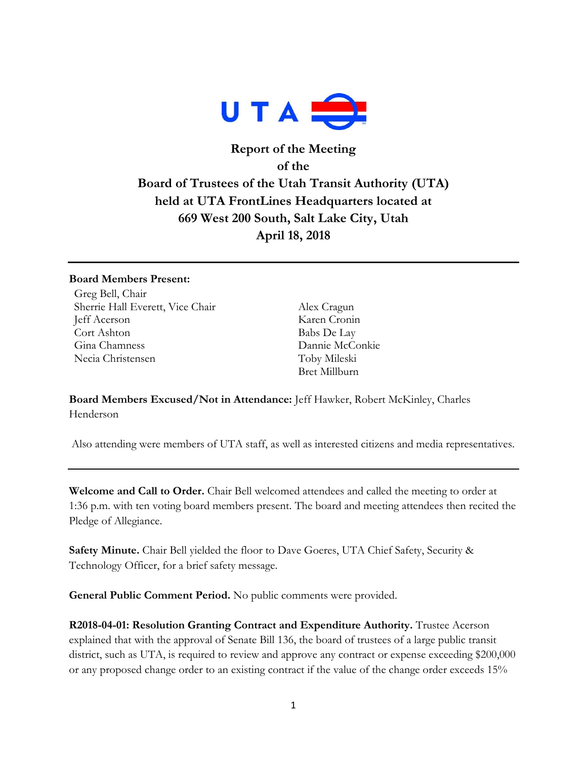

# **Report of the Meeting of the Board of Trustees of the Utah Transit Authority (UTA) held at UTA FrontLines Headquarters located at 669 West 200 South, Salt Lake City, Utah April 18, 2018**

#### **Board Members Present:**

Greg Bell, Chair Sherrie Hall Everett, Vice Chair Alex Cragun Jeff Acerson Karen Cronin Cort Ashton Babs De Lay Gina Chamness Dannie McConkie Necia Christensen Toby Mileski

Bret Millburn

**Board Members Excused/Not in Attendance:** Jeff Hawker, Robert McKinley, Charles Henderson

Also attending were members of UTA staff, as well as interested citizens and media representatives.

**Welcome and Call to Order.** Chair Bell welcomed attendees and called the meeting to order at 1:36 p.m. with ten voting board members present. The board and meeting attendees then recited the Pledge of Allegiance.

**Safety Minute.** Chair Bell yielded the floor to Dave Goeres, UTA Chief Safety, Security & Technology Officer, for a brief safety message.

**General Public Comment Period.** No public comments were provided.

**R2018-04-01: Resolution Granting Contract and Expenditure Authority.** Trustee Acerson explained that with the approval of Senate Bill 136, the board of trustees of a large public transit district, such as UTA, is required to review and approve any contract or expense exceeding \$200,000 or any proposed change order to an existing contract if the value of the change order exceeds 15%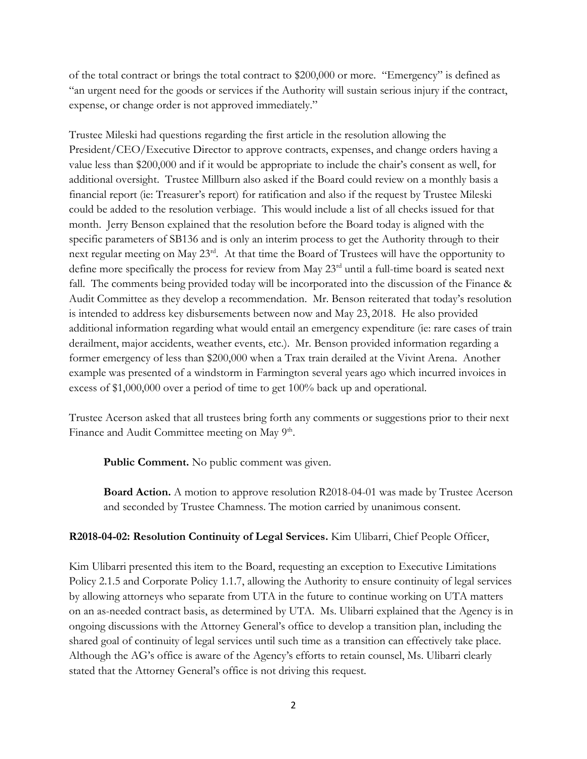of the total contract or brings the total contract to \$200,000 or more. "Emergency" is defined as "an urgent need for the goods or services if the Authority will sustain serious injury if the contract, expense, or change order is not approved immediately."

Trustee Mileski had questions regarding the first article in the resolution allowing the President/CEO/Executive Director to approve contracts, expenses, and change orders having a value less than \$200,000 and if it would be appropriate to include the chair's consent as well, for additional oversight. Trustee Millburn also asked if the Board could review on a monthly basis a financial report (ie: Treasurer's report) for ratification and also if the request by Trustee Mileski could be added to the resolution verbiage. This would include a list of all checks issued for that month. Jerry Benson explained that the resolution before the Board today is aligned with the specific parameters of SB136 and is only an interim process to get the Authority through to their next regular meeting on May 23rd. At that time the Board of Trustees will have the opportunity to define more specifically the process for review from May 23<sup>rd</sup> until a full-time board is seated next fall. The comments being provided today will be incorporated into the discussion of the Finance & Audit Committee as they develop a recommendation. Mr. Benson reiterated that today's resolution is intended to address key disbursements between now and May 23, 2018. He also provided additional information regarding what would entail an emergency expenditure (ie: rare cases of train derailment, major accidents, weather events, etc.). Mr. Benson provided information regarding a former emergency of less than \$200,000 when a Trax train derailed at the Vivint Arena. Another example was presented of a windstorm in Farmington several years ago which incurred invoices in excess of \$1,000,000 over a period of time to get 100% back up and operational.

Trustee Acerson asked that all trustees bring forth any comments or suggestions prior to their next Finance and Audit Committee meeting on May 9<sup>th</sup>.

Public Comment. No public comment was given.

**Board Action.** A motion to approve resolution R2018-04-01 was made by Trustee Acerson and seconded by Trustee Chamness. The motion carried by unanimous consent.

### **R2018-04-02: Resolution Continuity of Legal Services.** Kim Ulibarri, Chief People Officer,

Kim Ulibarri presented this item to the Board, requesting an exception to Executive Limitations Policy 2.1.5 and Corporate Policy 1.1.7, allowing the Authority to ensure continuity of legal services by allowing attorneys who separate from UTA in the future to continue working on UTA matters on an as-needed contract basis, as determined by UTA. Ms. Ulibarri explained that the Agency is in ongoing discussions with the Attorney General's office to develop a transition plan, including the shared goal of continuity of legal services until such time as a transition can effectively take place. Although the AG's office is aware of the Agency's efforts to retain counsel, Ms. Ulibarri clearly stated that the Attorney General's office is not driving this request.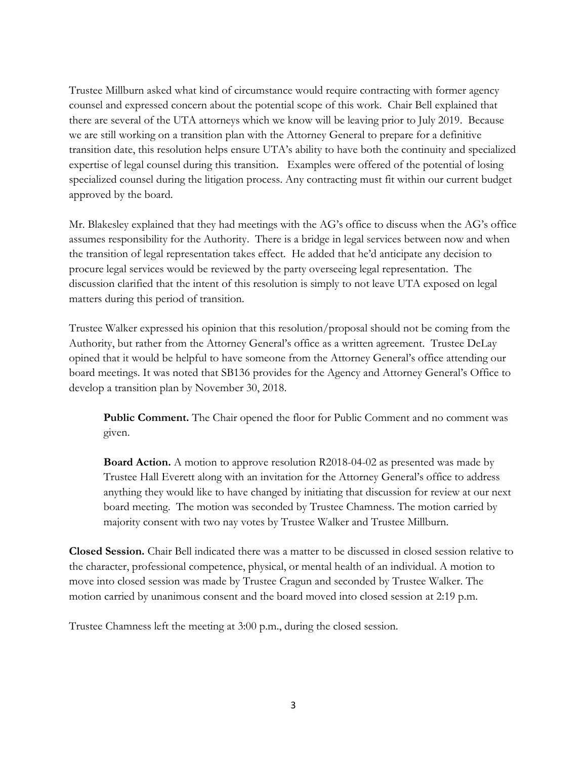Trustee Millburn asked what kind of circumstance would require contracting with former agency counsel and expressed concern about the potential scope of this work. Chair Bell explained that there are several of the UTA attorneys which we know will be leaving prior to July 2019. Because we are still working on a transition plan with the Attorney General to prepare for a definitive transition date, this resolution helps ensure UTA's ability to have both the continuity and specialized expertise of legal counsel during this transition. Examples were offered of the potential of losing specialized counsel during the litigation process. Any contracting must fit within our current budget approved by the board.

Mr. Blakesley explained that they had meetings with the AG's office to discuss when the AG's office assumes responsibility for the Authority. There is a bridge in legal services between now and when the transition of legal representation takes effect. He added that he'd anticipate any decision to procure legal services would be reviewed by the party overseeing legal representation. The discussion clarified that the intent of this resolution is simply to not leave UTA exposed on legal matters during this period of transition.

Trustee Walker expressed his opinion that this resolution/proposal should not be coming from the Authority, but rather from the Attorney General's office as a written agreement. Trustee DeLay opined that it would be helpful to have someone from the Attorney General's office attending our board meetings. It was noted that SB136 provides for the Agency and Attorney General's Office to develop a transition plan by November 30, 2018.

**Public Comment.** The Chair opened the floor for Public Comment and no comment was given.

**Board Action.** A motion to approve resolution R2018-04-02 as presented was made by Trustee Hall Everett along with an invitation for the Attorney General's office to address anything they would like to have changed by initiating that discussion for review at our next board meeting. The motion was seconded by Trustee Chamness. The motion carried by majority consent with two nay votes by Trustee Walker and Trustee Millburn.

**Closed Session.** Chair Bell indicated there was a matter to be discussed in closed session relative to the character, professional competence, physical, or mental health of an individual. A motion to move into closed session was made by Trustee Cragun and seconded by Trustee Walker. The motion carried by unanimous consent and the board moved into closed session at 2:19 p.m.

Trustee Chamness left the meeting at 3:00 p.m., during the closed session.